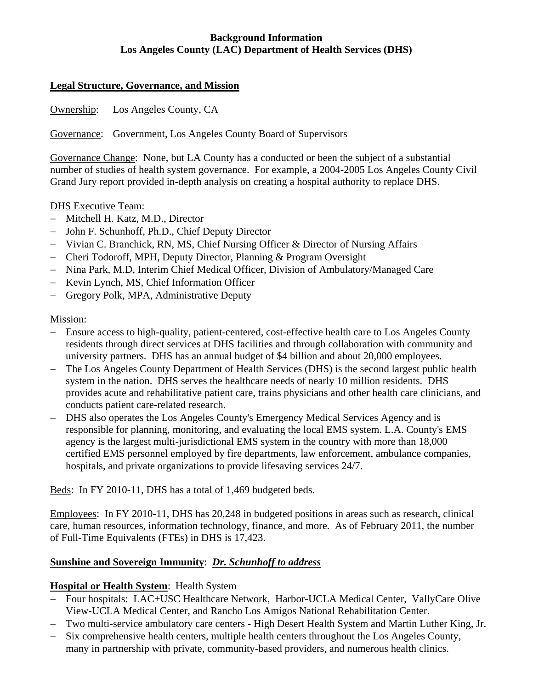## **Background Information Los Angeles County (LAC) Department of Health Services (DHS)**

### **Legal Structure, Governance, and Mission**

Ownership: Los Angeles County, CA

Governance: Government, Los Angeles County Board of Supervisors

Governance Change: None, but LA County has a conducted or been the subject of a substantial number of studies of health system governance. For example, a 2004-2005 Los Angeles County Civil Grand Jury report provided in-depth analysis on creating a hospital authority to replace DHS.

DHS Executive Team:

- − Mitchell H. Katz, M.D., Director
- − John F. Schunhoff, Ph.D., Chief Deputy Director
- − Vivian C. Branchick, RN, MS, Chief Nursing Officer & Director of Nursing Affairs
- − Cheri Todoroff, MPH, Deputy Director, Planning & Program Oversight
- − Nina Park, M.D, Interim Chief Medical Officer, Division of Ambulatory/Managed Care
- − Kevin Lynch, MS, Chief Information Officer
- − Gregory Polk, MPA, Administrative Deputy

## Mission:

- − Ensure access to high-quality, patient-centered, cost-effective health care to Los Angeles County residents through direct services at DHS facilities and through collaboration with community and university partners. DHS has an annual budget of \$4 billion and about 20,000 employees.
- − The Los Angeles County Department of Health Services (DHS) is the second largest public health system in the nation. DHS serves the healthcare needs of nearly 10 million residents. DHS provides acute and rehabilitative patient care, trains physicians and other health care clinicians, and conducts patient care-related research.
- − DHS also operates the Los Angeles County's Emergency Medical Services Agency and is responsible for planning, monitoring, and evaluating the local EMS system. L.A. County's EMS agency is the largest multi-jurisdictional EMS system in the country with more than 18,000 certified EMS personnel employed by fire departments, law enforcement, ambulance companies, hospitals, and private organizations to provide lifesaving services 24/7.

Beds: In FY 2010-11, DHS has a total of 1,469 budgeted beds.

Employees: In FY 2010-11, DHS has 20,248 in budgeted positions in areas such as research, clinical care, human resources, information technology, finance, and more. As of February 2011, the number of Full-Time Equivalents (FTEs) in DHS is 17,423.

## **Sunshine and Sovereign Immunity**: *Dr. Schunhoff to address*

## **Hospital or Health System**: Health System

- − Four hospitals: LAC+USC Healthcare Network, Harbor-UCLA Medical Center, VallyCare Olive View-UCLA Medical Center, and Rancho Los Amigos National Rehabilitation Center.
- − Two multi-service ambulatory care centers High Desert Health System and Martin Luther King, Jr.
- − Six comprehensive health centers, multiple health centers throughout the Los Angeles County, many in partnership with private, community-based providers, and numerous health clinics.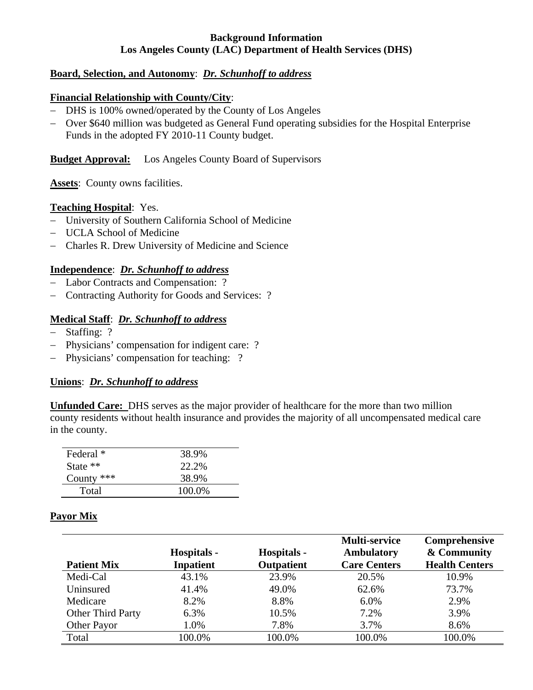### **Background Information Los Angeles County (LAC) Department of Health Services (DHS)**

## **Board, Selection, and Autonomy**: *Dr. Schunhoff to address*

### **Financial Relationship with County/City**:

- − DHS is 100% owned/operated by the County of Los Angeles
- − Over \$640 million was budgeted as General Fund operating subsidies for the Hospital Enterprise Funds in the adopted FY 2010-11 County budget.

**Budget Approval:** Los Angeles County Board of Supervisors

**Assets**: County owns facilities.

#### **Teaching Hospital**: Yes.

- − University of Southern California School of Medicine
- − UCLA School of Medicine
- − Charles R. Drew University of Medicine and Science

### **Independence**: *Dr. Schunhoff to address*

- − Labor Contracts and Compensation: ?
- − Contracting Authority for Goods and Services: ?

### **Medical Staff**: *Dr. Schunhoff to address*

- − Staffing: ?
- − Physicians' compensation for indigent care: ?
- − Physicians' compensation for teaching: ?

#### **Unions**: *Dr. Schunhoff to address*

**Unfunded Care:** DHS serves as the major provider of healthcare for the more than two million county residents without health insurance and provides the majority of all uncompensated medical care in the county.

| Federal *    | 38.9%  |
|--------------|--------|
| State $**$   | 22.2%  |
| County $***$ | 38.9%  |
| Total        | 100.0% |

#### **Payor Mix**

|                          |                  |                   | <b>Multi-service</b> | Comprehensive         |
|--------------------------|------------------|-------------------|----------------------|-----------------------|
|                          | Hospitals -      | Hospitals -       | <b>Ambulatory</b>    | & Community           |
| <b>Patient Mix</b>       | <b>Inpatient</b> | <b>Outpatient</b> | <b>Care Centers</b>  | <b>Health Centers</b> |
| Medi-Cal                 | 43.1%            | 23.9%             | 20.5%                | 10.9%                 |
| Uninsured                | 41.4%            | 49.0%             | 62.6%                | 73.7%                 |
| Medicare                 | 8.2%             | 8.8%              | 6.0%                 | 2.9%                  |
| <b>Other Third Party</b> | 6.3%             | 10.5%             | 7.2%                 | 3.9%                  |
| <b>Other Payor</b>       | 1.0%             | 7.8%              | 3.7%                 | 8.6%                  |
| Total                    | 100.0%           | 100.0%            | 100.0%               | 100.0%                |